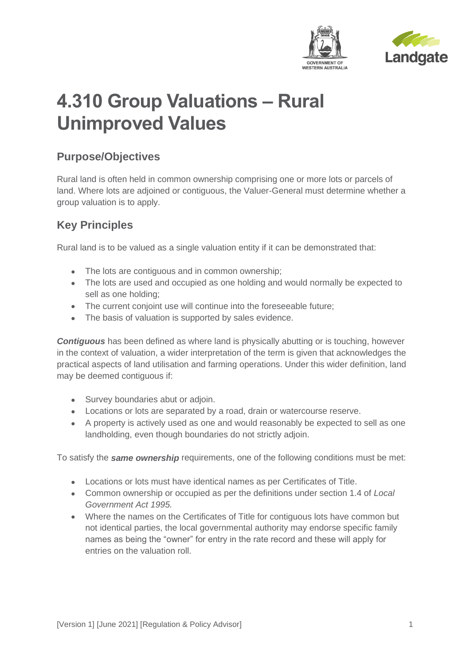



# **4.310 Group Valuations – Rural Unimproved Values**

## **Purpose/Objectives**

Rural land is often held in common ownership comprising one or more lots or parcels of land. Where lots are adjoined or contiguous, the Valuer-General must determine whether a group valuation is to apply.

## **Key Principles**

Rural land is to be valued as a single valuation entity if it can be demonstrated that:

- The lots are contiguous and in common ownership;
- The lots are used and occupied as one holding and would normally be expected to sell as one holding;
- The current conjoint use will continue into the foreseeable future;
- The basis of valuation is supported by sales evidence.

*Contiguous* has been defined as where land is physically abutting or is touching, however in the context of valuation, a wider interpretation of the term is given that acknowledges the practical aspects of land utilisation and farming operations. Under this wider definition, land may be deemed contiguous if:

- Survey boundaries abut or adjoin.
- Locations or lots are separated by a road, drain or watercourse reserve.
- A property is actively used as one and would reasonably be expected to sell as one landholding, even though boundaries do not strictly adjoin.

To satisfy the *same ownership* requirements, one of the following conditions must be met:

- Locations or lots must have identical names as per Certificates of Title.
- Common ownership or occupied as per the definitions under section 1.4 of *Local Government Act 1995.*
- Where the names on the Certificates of Title for contiguous lots have common but not identical parties, the local governmental authority may endorse specific family names as being the "owner" for entry in the rate record and these will apply for entries on the valuation roll.